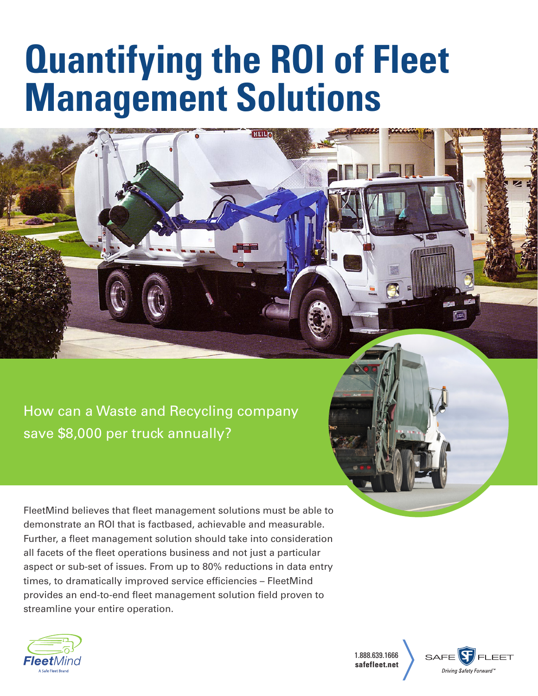# **Quantifying the ROI of Fleet Management Solutions**

How can a Waste and Recycling company save \$8,000 per truck annually?

FleetMind believes that fleet management solutions must be able to demonstrate an ROI that is factbased, achievable and measurable. Further, a fleet management solution should take into consideration all facets of the fleet operations business and not just a particular aspect or sub-set of issues. From up to 80% reductions in data entry times, to dramatically improved service efficiencies – FleetMind provides an end-to-end fleet management solution field proven to streamline your entire operation.



1.888.639.1666 **safefleet.net**